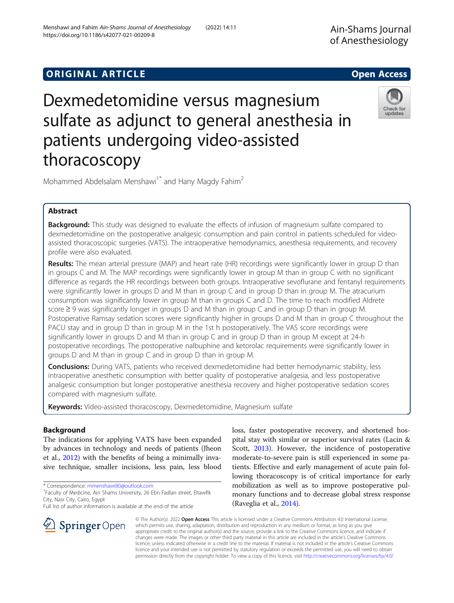# **ORIGINAL ARTICLE** And the open Access of the Open Access of the Open Access of the Open Access of the Open Access

# Dexmedetomidine versus magnesium sulfate as adjunct to general anesthesia in patients undergoing video-assisted thoracoscopy

Mohammed Abdelsalam Menshawi<sup>1\*</sup> and Hany Magdy Fahim<sup>2</sup>

# Abstract

**Background:** This study was designed to evaluate the effects of infusion of magnesium sulfate compared to dexmedetomidine on the postoperative analgesic consumption and pain control in patients scheduled for videoassisted thoracoscopic surgeries (VATS). The intraoperative hemodynamics, anesthesia requirements, and recovery profile were also evaluated.

Results: The mean arterial pressure (MAP) and heart rate (HR) recordings were significantly lower in group D than in groups C and M. The MAP recordings were significantly lower in group M than in group C with no significant difference as regards the HR recordings between both groups. Intraoperative sevoflurane and fentanyl requirements were significantly lower in groups D and M than in group C and in group D than in group M. The atracurium consumption was significantly lower in group M than in groups C and D. The time to reach modified Aldrete score ≥ 9 was significantly longer in groups D and M than in group C and in group D than in group M. Postoperative Ramsay sedation scores were significantly higher in groups D and M than in group C throughout the PACU stay and in group D than in group M in the 1st h postoperatively. The VAS score recordings were significantly lower in groups D and M than in group C and in group D than in group M except at 24-h postoperative recordings. The postoperative nalbuphine and ketorolac requirements were significantly lower in groups D and M than in group C and in group D than in group M.

**Conclusions:** During VATS, patients who received dexmedetomidine had better hemodynamic stability, less intraoperative anesthetic consumption with better quality of postoperative analgesia, and less postoperative analgesic consumption but longer postoperative anesthesia recovery and higher postoperative sedation scores compared with magnesium sulfate.

Keywords: Video-assisted thoracoscopy, Dexmedetomidine, Magnesium sulfate

# Background

The indications for applying VATS have been expanded by advances in technology and needs of patients (Jheon et al., [2012\)](#page-9-0) with the benefits of being a minimally invasive technique, smaller incisions, less pain, less blood

\* Correspondence: [mmenshawi80@outlook.com](mailto:mmenshawi80@outlook.com) <sup>1</sup>

l **Springer** Open

<sup>1</sup> Faculty of Medicine, Ain Shams University, 26 Ebn Fadlan street, Eltawfik City, Nasr City, Cairo, Egypt

Full list of author information is available at the end of the article

loss, faster postoperative recovery, and shortened hospital stay with similar or superior survival rates (Lacin & Scott, [2013\)](#page-9-0). However, the incidence of postoperative moderate-to-severe pain is still experienced in some patients. Effective and early management of acute pain following thoracoscopy is of critical importance for early mobilization as well as to improve postoperative pulmonary functions and to decrease global stress response (Raveglia et al., [2014\)](#page-9-0).

© The Author(s). 2022 Open Access This article is licensed under a Creative Commons Attribution 4.0 International License, which permits use, sharing, adaptation, distribution and reproduction in any medium or format, as long as you give appropriate credit to the original author(s) and the source, provide a link to the Creative Commons licence, and indicate if changes were made. The images or other third party material in this article are included in the article's Creative Commons licence, unless indicated otherwise in a credit line to the material. If material is not included in the article's Creative Commons licence and your intended use is not permitted by statutory regulation or exceeds the permitted use, you will need to obtain permission directly from the copyright holder. To view a copy of this licence, visit <http://creativecommons.org/licenses/by/4.0/>.



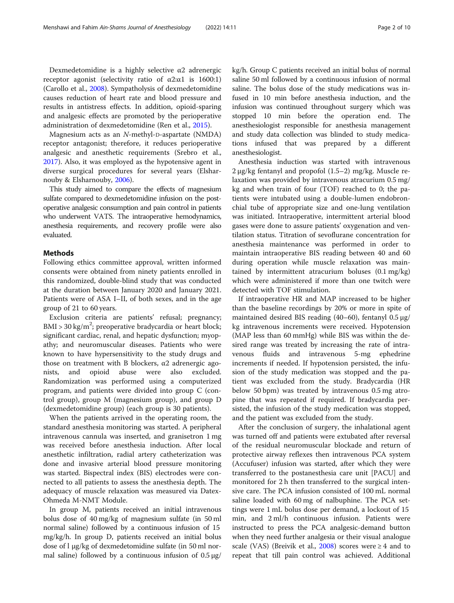Dexmedetomidine is a highly selective  $\alpha$ 2 adrenergic receptor agonist (selectivity ratio of  $α2:α1$  is 1600:1) (Carollo et al., [2008](#page-8-0)). Sympatholysis of dexmedetomidine causes reduction of heart rate and blood pressure and results in antistress effects. In addition, opioid-sparing and analgesic effects are promoted by the perioperative administration of dexmedetomidine (Ren et al., [2015\)](#page-9-0).

Magnesium acts as an N-methyl-D-aspartate (NMDA) receptor antagonist; therefore, it reduces perioperative analgesic and anesthetic requirements (Srebro et al., [2017](#page-9-0)). Also, it was employed as the hypotensive agent in diverse surgical procedures for several years (Elsharnouby & Elsharnouby, [2006](#page-9-0)).

This study aimed to compare the effects of magnesium sulfate compared to dexmedetomidine infusion on the postoperative analgesic consumption and pain control in patients who underwent VATS. The intraoperative hemodynamics, anesthesia requirements, and recovery profile were also evaluated.

# Methods

Following ethics committee approval, written informed consents were obtained from ninety patients enrolled in this randomized, double-blind study that was conducted at the duration between January 2020 and January 2021. Patients were of ASA I–II, of both sexes, and in the age group of 21 to 60 years.

Exclusion criteria are patients' refusal; pregnancy; BMI > 30 kg/m<sup>2</sup>; preoperative bradycardia or heart block; significant cardiac, renal, and hepatic dysfunction; myopathy; and neuromuscular diseases. Patients who were known to have hypersensitivity to the study drugs and those on treatment with B blockers,  $α2$  adrenergic agonists, and opioid abuse were also excluded. Randomization was performed using a computerized program, and patients were divided into group C (control group), group M (magnesium group), and group D (dexmedetomidine group) (each group is 30 patients).

When the patients arrived in the operating room, the standard anesthesia monitoring was started. A peripheral intravenous cannula was inserted, and granisetron 1 mg was received before anesthesia induction. After local anesthetic infiltration, radial artery catheterization was done and invasive arterial blood pressure monitoring was started. Bispectral index (BIS) electrodes were connected to all patients to assess the anesthesia depth. The adequacy of muscle relaxation was measured via Datex-Ohmeda M-NMT Module.

In group M, patients received an initial intravenous bolus dose of 40 mg/kg of magnesium sulfate (in 50 ml normal saline) followed by a continuous infusion of 15 mg/kg/h. In group D, patients received an initial bolus dose of l μg/kg of dexmedetomidine sulfate (in 50 ml normal saline) followed by a continuous infusion of  $0.5 \mu g$ /

kg/h. Group C patients received an initial bolus of normal saline 50 ml followed by a continuous infusion of normal saline. The bolus dose of the study medications was infused in 10 min before anesthesia induction, and the infusion was continued throughout surgery which was stopped 10 min before the operation end. The anesthesiologist responsible for anesthesia management and study data collection was blinded to study medications infused that was prepared by a different anesthesiologist.

Anesthesia induction was started with intravenous 2 μg/kg fentanyl and propofol (1.5–2) mg/kg. Muscle relaxation was provided by intravenous atracurium 0.5 mg/ kg and when train of four (TOF) reached to 0; the patients were intubated using a double-lumen endobronchial tube of appropriate size and one-lung ventilation was initiated. Intraoperative, intermittent arterial blood gases were done to assure patients' oxygenation and ventilation status. Titration of sevoflurane concentration for anesthesia maintenance was performed in order to maintain intraoperative BIS reading between 40 and 60 during operation while muscle relaxation was maintained by intermittent atracurium boluses (0.1 mg/kg) which were administered if more than one twitch were detected with TOF stimulation.

If intraoperative HR and MAP increased to be higher than the baseline recordings by 20% or more in spite of maintained desired BIS reading (40–60), fentanyl 0.5 μg/ kg intravenous increments were received. Hypotension (MAP less than 60 mmHg) while BIS was within the desired range was treated by increasing the rate of intravenous fluids and intravenous 5-mg ephedrine increments if needed. If hypotension persisted, the infusion of the study medication was stopped and the patient was excluded from the study. Bradycardia (HR below 50 bpm) was treated by intravenous 0.5 mg atropine that was repeated if required. If bradycardia persisted, the infusion of the study medication was stopped, and the patient was excluded from the study.

After the conclusion of surgery, the inhalational agent was turned off and patients were extubated after reversal of the residual neuromuscular blockade and return of protective airway reflexes then intravenous PCA system (Accufuser) infusion was started, after which they were transferred to the postanesthesia care unit [PACU] and monitored for 2 h then transferred to the surgical intensive care. The PCA infusion consisted of 100 mL normal saline loaded with 60 mg of nalbuphine. The PCA settings were 1 mL bolus dose per demand, a lockout of 15 min, and 2 ml/h continuous infusion. Patients were instructed to press the PCA analgesic-demand button when they need further analgesia or their visual analogue scale (VAS) (Breivik et al., [2008](#page-8-0)) scores were  $\geq 4$  and to repeat that till pain control was achieved. Additional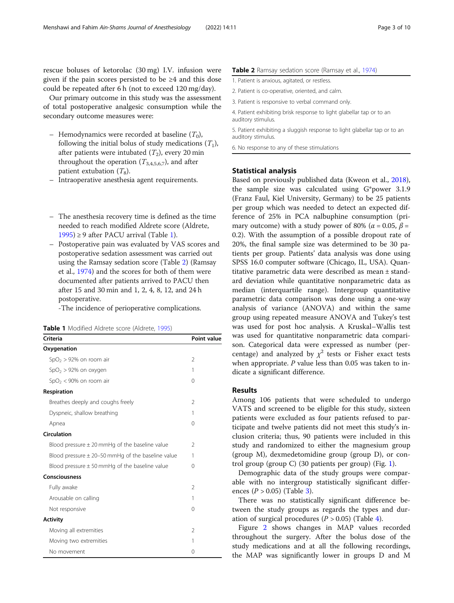rescue boluses of ketorolac (30 mg) I.V. infusion were given if the pain scores persisted to be  $\geq 4$  and this dose could be repeated after 6 h (not to exceed 120 mg/day).

Our primary outcome in this study was the assessment of total postoperative analgesic consumption while the secondary outcome measures were:

- Hemodynamics were recorded at baseline  $(T_0)$ , following the initial bolus of study medications  $(T_1)$ , after patients were intubated  $(T_2)$ , every 20 min throughout the operation  $(T_{3,4,5,6,7})$ , and after patient extubation  $(T_8)$ .
- Intraoperative anesthesia agent requirements.
- The anesthesia recovery time is defined as the time needed to reach modified Aldrete score (Aldrete,  $1995$ ) ≥ 9 after PACU arrival (Table 1).
- Postoperative pain was evaluated by VAS scores and postoperative sedation assessment was carried out using the Ramsay sedation score (Table 2) (Ramsay et al., [1974](#page-9-0)) and the scores for both of them were documented after patients arrived to PACU then after 15 and 30 min and 1, 2, 4, 8, 12, and 24 h postoperative.

-The incidence of perioperative complications.

Table 1 Modified Aldrete score (Aldrete, [1995\)](#page-8-0)

| <b>Criteria</b>                                       | <b>Point value</b> |
|-------------------------------------------------------|--------------------|
| Oxygenation                                           |                    |
| $SpO2 > 92%$ on room air                              | $\mathfrak{D}$     |
| $SpO2 > 92%$ on oxygen                                | 1                  |
| $SpO2 < 90%$ on room air                              | $\Omega$           |
| Respiration                                           |                    |
| Breathes deeply and coughs freely                     | $\overline{2}$     |
| Dyspneic, shallow breathing                           | 1                  |
| Apnea                                                 | $\Omega$           |
| Circulation                                           |                    |
| Blood pressure $\pm$ 20 mmHg of the baseline value    | $\mathcal{P}$      |
| Blood pressure $\pm$ 20–50 mmHg of the baseline value | 1                  |
| Blood pressure $\pm$ 50 mmHg of the baseline value    | $\Omega$           |
| Consciousness                                         |                    |
| Fully awake                                           | $\mathfrak{D}$     |
| Arousable on calling                                  | 1                  |
| Not responsive                                        | $\Omega$           |
| <b>Activity</b>                                       |                    |
| Moving all extremities                                | $\overline{2}$     |
| Moving two extremities                                | 1                  |
| No movement                                           | $\Omega$           |

#### Table 2 Ramsay sedation score (Ramsay et al., [1974](#page-9-0))

1. Patient is anxious, agitated, or restless.

2. Patient is co-operative, oriented, and calm.

3. Patient is responsive to verbal command only.

4. Patient exhibiting brisk response to light glabellar tap or to an auditory stimulus.

5. Patient exhibiting a sluggish response to light glabellar tap or to an auditory stimulus.

6. No response to any of these stimulations

# Statistical analysis

Based on previously published data (Kweon et al., [2018](#page-9-0)), the sample size was calculated using G\*power 3.1.9 (Franz Faul, Kiel University, Germany) to be 25 patients per group which was needed to detect an expected difference of 25% in PCA nalbuphine consumption (primary outcome) with a study power of 80% ( $\alpha$  = 0.05,  $\beta$  = 0.2). With the assumption of a possible dropout rate of 20%, the final sample size was determined to be 30 patients per group. Patients' data analysis was done using SPSS 16.0 computer software (Chicago, IL, USA). Quantitative parametric data were described as mean ± standard deviation while quantitative nonparametric data as median (interquartile range). Intergroup quantitative parametric data comparison was done using a one-way analysis of variance (ANOVA) and within the same group using repeated measure ANOVA and Tukey's test was used for post hoc analysis. A Kruskal–Wallis test was used for quantitative nonparametric data comparison. Categorical data were expressed as number (percentage) and analyzed by  $\chi^2$  tests or Fisher exact tests when appropriate.  $P$  value less than 0.05 was taken to indicate a significant difference.

# Results

Among 106 patients that were scheduled to undergo VATS and screened to be eligible for this study, sixteen patients were excluded as four patients refused to participate and twelve patients did not meet this study's inclusion criteria; thus, 90 patients were included in this study and randomized to either the magnesium group (group M), dexmedetomidine group (group D), or control group (group C) (30 patients per group) (Fig. [1\)](#page-3-0).

Demographic data of the study groups were comparable with no intergroup statistically significant differences ( $P > 0.05$ ) (Table [3\)](#page-3-0).

There was no statistically significant difference between the study groups as regards the types and duration of surgical procedures ( $P > 0.05$ ) (Table [4\)](#page-4-0).

Figure [2](#page-4-0) shows changes in MAP values recorded throughout the surgery. After the bolus dose of the study medications and at all the following recordings, the MAP was significantly lower in groups D and M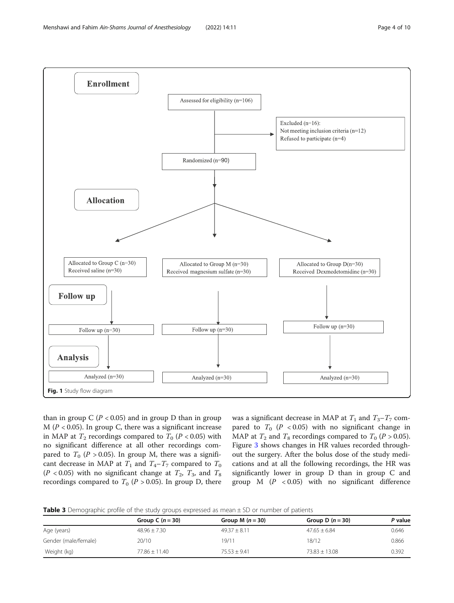<span id="page-3-0"></span>

than in group C ( $P < 0.05$ ) and in group D than in group  $M (P < 0.05)$ . In group C, there was a significant increase in MAP at  $T_2$  recordings compared to  $T_0$  ( $P < 0.05$ ) with no significant difference at all other recordings compared to  $T_0$  (P > 0.05). In group M, there was a significant decrease in MAP at  $T_1$  and  $T_4 - T_7$  compared to  $T_0$ ( $P < 0.05$ ) with no significant change at  $T_2$ ,  $T_3$ , and  $T_8$ recordings compared to  $T_0$  ( $P > 0.05$ ). In group D, there was a significant decrease in MAP at  $T_1$  and  $T_3 - T_7$  compared to  $T_0$  (P < 0.05) with no significant change in MAP at  $T_2$  and  $T_8$  recordings compared to  $T_0$  (P > 0.05). Figure [3](#page-5-0) shows changes in HR values recorded throughout the surgery. After the bolus dose of the study medications and at all the following recordings, the HR was significantly lower in group D than in group C and group M  $(P < 0.05)$  with no significant difference

|  |  |  | Table 3 Demographic profile of the study groups expressed as mean ± SD or number of patients |  |  |  |  |
|--|--|--|----------------------------------------------------------------------------------------------|--|--|--|--|
|--|--|--|----------------------------------------------------------------------------------------------|--|--|--|--|

|                      | Group C $(n = 30)$ | Group M $(n=30)$ | Group D $(n = 30)$ | P value |
|----------------------|--------------------|------------------|--------------------|---------|
| Age (years)          | $48.96 \pm 7.30$   | $49.37 + 8.11$   | $47.65 \pm 6.84$   | 0.646   |
| Gender (male/female) | 20/10              | 19/11            | 18/12              | 0.866   |
| Weight (kg)          | $77.86 + 11.40$    | $75.53 + 9.41$   | $73.83 + 13.08$    | 0.392   |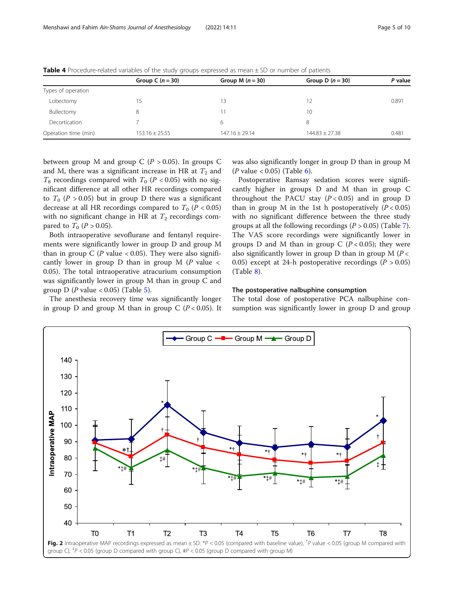|                      | Group C $(n = 30)$ | Group M $(n = 30)$ | Group D $(n = 30)$ | P value |
|----------------------|--------------------|--------------------|--------------------|---------|
| Types of operation   |                    |                    |                    |         |
| Lobectomy            |                    | 13                 | 12                 | 0.891   |
| Bullectomy           | 8                  |                    | 10                 |         |
| Decortication        |                    | 6                  | 8                  |         |
| Operation time (min) | $153.16 \pm 25.55$ | $147.16 + 29.14$   | $144.83 \pm 27.38$ | 0.481   |

<span id="page-4-0"></span>Table 4 Procedure-related variables of the study groups expressed as mean ± SD or number of patients

between group M and group C ( $P > 0.05$ ). In groups C and M, there was a significant increase in HR at  $T_2$  and  $T_8$  recordings compared with  $T_0$  (P < 0.05) with no significant difference at all other HR recordings compared to  $T_0$  (P > 0.05) but in group D there was a significant decrease at all HR recordings compared to  $T_0$  ( $P < 0.05$ ) with no significant change in HR at  $T_2$  recordings compared to  $T_0$  (*P* > 0.05).

Both intraoperative sevoflurane and fentanyl requirements were significantly lower in group D and group M than in group C (P value < 0.05). They were also significantly lower in group D than in group M  $(P \text{ value} <$ 0.05). The total intraoperative atracurium consumption was significantly lower in group M than in group C and group D (P value < 0.0[5\)](#page-5-0) (Table 5).

The anesthesia recovery time was significantly longer in group D and group M than in group C  $(P < 0.05)$ . It was also significantly longer in group D than in group M (*P* value < 0.05) (Table [6\)](#page-6-0).

Postoperative Ramsay sedation scores were significantly higher in groups D and M than in group C throughout the PACU stay  $(P < 0.05)$  and in group D than in group M in the 1st h postoperatively  $(P < 0.05)$ with no significant difference between the three study groups at all the following recordings  $(P > 0.05)$  (Table [7](#page-6-0)). The VAS score recordings were significantly lower in groups D and M than in group C  $(P < 0.05)$ ; they were also significantly lower in group D than in group  $M(P \lt \mathcal{C})$ 0.05) except at 24-h postoperative recordings ( $P > 0.05$ ) (Table [8\)](#page-7-0).

#### The postoperative nalbuphine consumption

The total dose of postoperative PCA nalbuphine consumption was significantly lower in group D and group

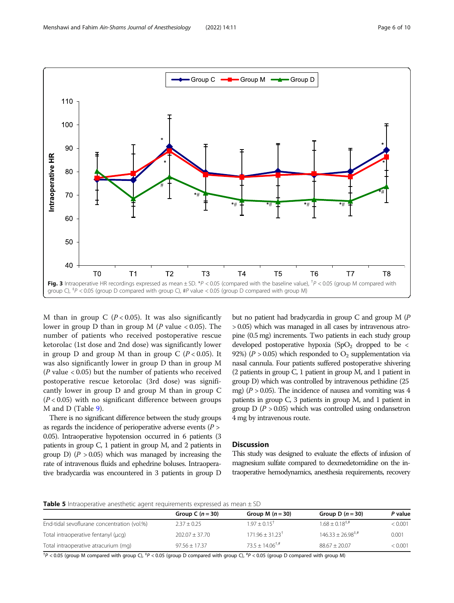<span id="page-5-0"></span>

M than in group C ( $P < 0.05$ ). It was also significantly lower in group D than in group M (P value  $< 0.05$ ). The number of patients who received postoperative rescue ketorolac (1st dose and 2nd dose) was significantly lower in group D and group M than in group C  $(P < 0.05)$ . It was also significantly lower in group D than in group M ( $P$  value < 0.05) but the number of patients who received postoperative rescue ketorolac (3rd dose) was significantly lower in group D and group M than in group C  $(P < 0.05)$  with no significant difference between groups M and D (Table [9\)](#page-7-0).

There is no significant difference between the study groups as regards the incidence of perioperative adverse events ( $P >$ 0.05). Intraoperative hypotension occurred in 6 patients (3 patients in group C, 1 patient in group M, and 2 patients in group D)  $(P > 0.05)$  which was managed by increasing the rate of intravenous fluids and ephedrine boluses. Intraoperative bradycardia was encountered in 3 patients in group D

but no patient had bradycardia in group C and group M (P > 0.05) which was managed in all cases by intravenous atropine (0.5 mg) increments. Two patients in each study group developed postoperative hypoxia  $(SpO<sub>2</sub>$  dropped to be < 92%) ( $P > 0.05$ ) which responded to  $O<sub>2</sub>$  supplementation via nasal cannula. Four patients suffered postoperative shivering (2 patients in group C, 1 patient in group M, and 1 patient in group D) which was controlled by intravenous pethidine (25 mg) ( $P > 0.05$ ). The incidence of nausea and vomiting was 4 patients in group C, 3 patients in group M, and 1 patient in group  $D (P > 0.05)$  which was controlled using ondansetron 4 mg by intravenous route.

# **Discussion**

This study was designed to evaluate the effects of infusion of magnesium sulfate compared to dexmedetomidine on the intraoperative hemodynamics, anesthesia requirements, recovery

#### **Table 5** Intraoperative anesthetic agent requirements expressed as mean  $\pm$  SD

|                                             | Group C $(n = 30)$ | Group M $(n = 30)$            | Group D $(n=30)$                           | P value |
|---------------------------------------------|--------------------|-------------------------------|--------------------------------------------|---------|
| End-tidal sevoflurane concentration (vol.%) | $2.37 + 0.25$      | $1.97 + 0.15$ <sup>†</sup>    | $168 + 0.18$ <sup><math>\ddag</math></sup> | < 0.001 |
| Total intraoperative fentanyl (µcq)         | $202.07 + 37.70$   | $171.96 + 31.23$ <sup>†</sup> | $146.33 + 26.98^{\text{+},\#}$             | 0.001   |
| Total intraoperative atracurium (mg)        | $97.56 + 17.37$    | $73.5 + 14.06^{\text{+},\#}$  | $88.67 + 20.07$                            | < 0.001 |

<sup>†</sup> $P$  < 0.05 (group M compared with group C), <sup>‡</sup> $P$  < 0.05 (group D compared with group C), <sup>#</sup> $P$  < 0.05 (group D compared with group M)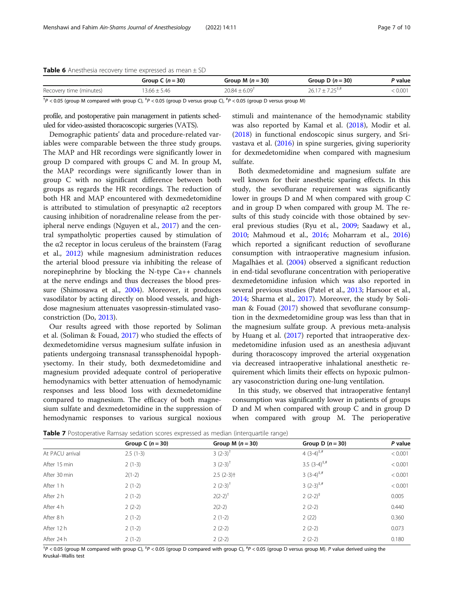#### <span id="page-6-0"></span>**Table 6** Anesthesia recovery time expressed as mean  $\pm$  SD

|                                                                                                                                                                                                                                | Group C $(n = 30)$ | Group M $(n = 30)$ | Group D $(n = 30)$            | <sup>9</sup> value |
|--------------------------------------------------------------------------------------------------------------------------------------------------------------------------------------------------------------------------------|--------------------|--------------------|-------------------------------|--------------------|
| Recovery time (minutes)                                                                                                                                                                                                        | $3.66 \pm 5.46$    | $20.84 + 6.09$     | $26.17 + 7.25$ <sup>+,#</sup> | 0.001              |
| the common contract of the second contract of the second second contract of the second second second second second second second second second second second second second second second second second second second second se |                    |                    | .                             |                    |

<sup>†</sup> $P$  < 0.05 (group M compared with group C), <sup>‡</sup> $P$  < 0.05 (group D versus group C), <sup>#</sup> $P$  < 0.05 (group D versus group M)

profile, and postoperative pain management in patients scheduled for video-assisted thoracoscopic surgeries (VATS).

Demographic patients' data and procedure-related variables were comparable between the three study groups. The MAP and HR recordings were significantly lower in group D compared with groups C and M. In group M, the MAP recordings were significantly lower than in group C with no significant difference between both groups as regards the HR recordings. The reduction of both HR and MAP encountered with dexmedetomidine is attributed to stimulation of presynaptic  $\alpha$ 2 receptors causing inhibition of noradrenaline release from the peripheral nerve endings (Nguyen et al., [2017\)](#page-9-0) and the central sympatholytic properties caused by stimulation of the  $α2$  receptor in locus ceruleus of the brainstem (Farag et al., [2012](#page-9-0)) while magnesium administration reduces the arterial blood pressure via inhibiting the release of norepinephrine by blocking the N-type Ca++ channels at the nerve endings and thus decreases the blood pressure (Shimosawa et al., [2004](#page-9-0)). Moreover, it produces vasodilator by acting directly on blood vessels, and highdose magnesium attenuates vasopressin-stimulated vasoconstriction (Do, [2013\)](#page-9-0).

Our results agreed with those reported by Soliman et al. (Soliman & Fouad, [2017\)](#page-9-0) who studied the effects of dexmedetomidine versus magnesium sulfate infusion in patients undergoing transnasal transsphenoidal hypophysectomy. In their study, both dexmedetomidine and magnesium provided adequate control of perioperative hemodynamics with better attenuation of hemodynamic responses and less blood loss with dexmedetomidine compared to magnesium. The efficacy of both magnesium sulfate and dexmedetomidine in the suppression of hemodynamic responses to various surgical noxious

stimuli and maintenance of the hemodynamic stability was also reported by Kamal et al. ([2018](#page-9-0)), Modir et al. ([2018\)](#page-9-0) in functional endoscopic sinus surgery, and Srivastava et al. [\(2016](#page-9-0)) in spine surgeries, giving superiority for dexmedetomidine when compared with magnesium sulfate.

Both dexmedetomidine and magnesium sulfate are well known for their anesthetic sparing effects. In this study, the sevoflurane requirement was significantly lower in groups D and M when compared with group C and in group D when compared with group M. The results of this study coincide with those obtained by several previous studies (Ryu et al., [2009;](#page-9-0) Saadawy et al., [2010](#page-9-0); Mahmoud et al., [2016](#page-9-0); Moharram et al., [2016](#page-9-0)) which reported a significant reduction of sevoflurane consumption with intraoperative magnesium infusion. Magalhães et al. ([2004\)](#page-9-0) observed a significant reduction in end-tidal sevoflurane concentration with perioperative dexmedetomidine infusion which was also reported in several previous studies (Patel et al., [2013](#page-9-0); Harsoor et al., [2014](#page-9-0); Sharma et al., [2017](#page-9-0)). Moreover, the study by Soliman & Fouad [\(2017\)](#page-9-0) showed that sevoflurane consumption in the dexmedetomidine group was less than that in the magnesium sulfate group. A previous meta-analysis by Huang et al. ([2017](#page-9-0)) reported that intraoperative dexmedetomidine infusion used as an anesthesia adjuvant during thoracoscopy improved the arterial oxygenation via decreased intraoperative inhalational anesthetic requirement which limits their effects on hypoxic pulmonary vasoconstriction during one-lung ventilation.

In this study, we observed that intraoperative fentanyl consumption was significantly lower in patients of groups D and M when compared with group C and in group D when compared with group M. The perioperative

**Table 7** Postoperative Ramsay sedation scores expressed as median (interquartile range)

| Group C $(n = 30)$ | Group M $(n = 30)$      | Group D $(n = 30)$  | P value |
|--------------------|-------------------------|---------------------|---------|
| $2.5(1-3)$         | $3(2-3)^{+}$            | 4 $(3-4)^{+,#}$     | < 0.001 |
| $2(1-3)$           | $3(2-3)^{+}$            | 3.5 $(3-4)^{+, \#}$ | < 0.001 |
| $2(1-2)$           | $2.5(2-3)$ <sup>+</sup> | $3(3-4)^{+,#}$      | < 0.001 |
| $2(1-2)$           | $2(2-3)^{+}$            | $3(2-3)^{+,#}$      | < 0.001 |
| $2(1-2)$           | $2(2-2)^{+}$            | $2(2-2)^+$          | 0.005   |
| $2(2-2)$           | $2(2-2)$                | $2(2-2)$            | 0.440   |
| $2(1-2)$           | $2(1-2)$                | 2(22)               | 0.360   |
| $2(1-2)$           | $2(2-2)$                | $2(2-2)$            | 0.073   |
| $2(1-2)$           | $2(2-2)$                | $2(2-2)$            | 0.180   |
|                    |                         |                     |         |

<sup>†</sup>P < 0.05 (group M compared with group C), <sup>‡</sup>P < 0.05 (group D compared with group C), <sup>#</sup>P < 0.05 (group D versus group M). P value derived using the<br>Kruskal–Wallis test Kruskal–Wallis test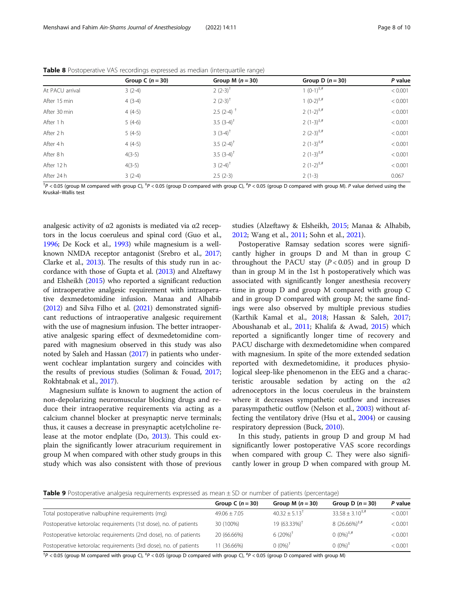|                 | Group C $(n = 30)$ | Group M $(n=30)$        | Group D $(n = 30)$ | P value |
|-----------------|--------------------|-------------------------|--------------------|---------|
| At PACU arrival | $3(2-4)$           | $2(2-3)^{T}$            | 1 $(O-1)^{+,#}$    | < 0.001 |
| After 15 min    | $4(3-4)$           | $2(2-3)^{+}$            | $1 (0-2)^{+,#}$    | < 0.001 |
| After 30 min    | $4(4-5)$           | $2.5(2-4)$ <sup>+</sup> | $2(1-2)^{+,#}$     | < 0.001 |
| After 1 h       | $5(4-6)$           | 3.5 $(3-4)^{+}$         | $2(1-3)^{+,#}$     | < 0.001 |
| After 2 h       | $5(4-5)$           | $3(3-4)^{+}$            | $2(2-3)^{+,#}$     | < 0.001 |
| After 4 h       | $4(4-5)$           | 3.5 $(2-4)^+$           | $2(1-3)^{+,#}$     | < 0.001 |
| After 8 h       | $4(3-5)$           | 3.5 $(3-4)^+$           | $2(1-3)^{+,#}$     | < 0.001 |
| After 12 h      | $4(3-5)$           | $3(2-4)^+$              | $2(1-2)^{+,#}$     | < 0.001 |
| After 24 h      | $3(2-4)$           | $2.5(2-3)$              | $2(1-3)$           | 0.067   |

<span id="page-7-0"></span>Table 8 Postoperative VAS recordings expressed as median (interquartile range)

<sup>†</sup>P < 0.05 (group M compared with group C), <sup>‡</sup>P < 0.05 (group D compared with group C), <sup>#</sup>P < 0.05 (group D compared with group M). P value derived using the<br>Kruskal–Wallis test Kruskal–Wallis test

analgesic activity of α2 agonists is mediated via α2 receptors in the locus coeruleus and spinal cord (Guo et al., [1996;](#page-9-0) De Kock et al., [1993\)](#page-8-0) while magnesium is a wellknown NMDA receptor antagonist (Srebro et al., [2017](#page-9-0); Clarke et al., [2013\)](#page-8-0). The results of this study run in accordance with those of Gupta et al. [\(2013\)](#page-9-0) and Alzeftawy and Elsheikh [\(2015\)](#page-8-0) who reported a significant reduction of intraoperative analgesic requirement with intraoperative dexmedetomidine infusion. Manaa and Alhabib ([2012](#page-9-0)) and Silva Filho et al. [\(2021](#page-9-0)) demonstrated significant reductions of intraoperative analgesic requirement with the use of magnesium infusion. The better intraoperative analgesic sparing effect of dexmedetomidine compared with magnesium observed in this study was also noted by Saleh and Hassan [\(2017\)](#page-9-0) in patients who underwent cochlear implantation surgery and coincides with the results of previous studies (Soliman & Fouad, [2017](#page-9-0); Rokhtabnak et al., [2017](#page-9-0)).

Magnesium sulfate is known to augment the action of non-depolarizing neuromuscular blocking drugs and reduce their intraoperative requirements via acting as a calcium channel blocker at presynaptic nerve terminals; thus, it causes a decrease in presynaptic acetylcholine release at the motor endplate (Do, [2013](#page-9-0)). This could explain the significantly lower atracurium requirement in group M when compared with other study groups in this study which was also consistent with those of previous

studies (Alzeftawy & Elsheikh, [2015](#page-8-0); Manaa & Alhabib, [2012](#page-9-0); Wang et al., [2011](#page-9-0); Sohn et al., [2021](#page-9-0)).

Postoperative Ramsay sedation scores were significantly higher in groups D and M than in group C throughout the PACU stay  $(P < 0.05)$  and in group D than in group M in the 1st h postoperatively which was associated with significantly longer anesthesia recovery time in group D and group M compared with group C and in group D compared with group M; the same findings were also observed by multiple previous studies (Karthik Kamal et al., [2018;](#page-9-0) Hassan & Saleh, [2017](#page-9-0); Aboushanab et al., [2011;](#page-8-0) Khalifa & Awad, [2015\)](#page-9-0) which reported a significantly longer time of recovery and PACU discharge with dexmedetomidine when compared with magnesium. In spite of the more extended sedation reported with dexmedetomidine, it produces physiological sleep-like phenomenon in the EEG and a characteristic arousable sedation by acting on the  $\alpha$ 2 adrenoceptors in the locus coeruleus in the brainstem where it decreases sympathetic outflow and increases parasympathetic outflow (Nelson et al., [2003](#page-9-0)) without affecting the ventilatory drive (Hsu et al., [2004\)](#page-9-0) or causing respiratory depression (Buck, [2010\)](#page-8-0).

In this study, patients in group D and group M had significantly lower postoperative VAS score recordings when compared with group C. They were also significantly lower in group D when compared with group M.

Table 9 Postoperative analgesia requirements expressed as mean ± SD or number of patients (percentage)

|                                                                  | Group C $(n = 30)$ | Group M $(n = 30)$       | Group D $(n = 30)$         | P value |
|------------------------------------------------------------------|--------------------|--------------------------|----------------------------|---------|
| Total postoperative nalbuphine requirements (mq)                 | $49.06 \pm 7.05$   | $40.32 + 5.13^{\dagger}$ | $33.58 + 3.10^{+,#}$       | < 0.001 |
| Postoperative ketorolac requirements (1st dose), no. of patients | 30 (100%)          | 19 (63.33%) <sup>+</sup> | $8(26.66\%)^{\ddagger,\#}$ | < 0.001 |
| Postoperative ketorolac requirements (2nd dose), no. of patients | 20 (66.66%)        | $6(20\%)^{\dagger}$      | $0 (0\%)^{\ddagger,\#}$    | < 0.001 |
| Postoperative ketorolac requirements (3rd dose), no. of patients | 11 (36.66%)        | $0 (0\%)^+$              | $0 (0\%)^+$                | < 0.001 |

<sup>†</sup> $P$  < 0.05 (group M compared with group C), <sup>‡</sup> $P$  < 0.05 (group D compared with group C), <sup>#</sup> $P$  < 0.05 (group D compared with group M)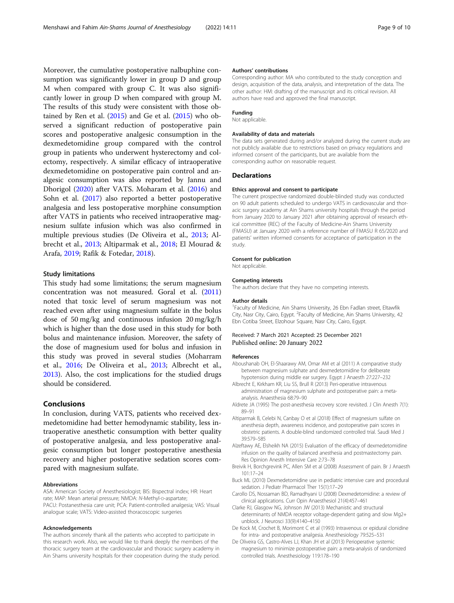<span id="page-8-0"></span>Moreover, the cumulative postoperative nalbuphine consumption was significantly lower in group D and group M when compared with group C. It was also significantly lower in group D when compared with group M. The results of this study were consistent with those obtained by Ren et al.  $(2015)$  $(2015)$  $(2015)$  and Ge et al.  $(2015)$  $(2015)$  who observed a significant reduction of postoperative pain scores and postoperative analgesic consumption in the dexmedetomidine group compared with the control group in patients who underwent hysterectomy and colectomy, respectively. A similar efficacy of intraoperative dexmedetomidine on postoperative pain control and analgesic consumption was also reported by Jannu and Dhorigol ([2020](#page-9-0)) after VATS. Moharam et al. [\(2016\)](#page-9-0) and Sohn et al. [\(2017\)](#page-9-0) also reported a better postoperative analgesia and less postoperative morphine consumption after VATS in patients who received intraoperative magnesium sulfate infusion which was also confirmed in multiple previous studies (De Oliveira et al., 2013; Albrecht et al., 2013; Altiparmak et al., 2018; El Mourad & Arafa, [2019;](#page-9-0) Rafik & Fotedar, [2018](#page-9-0)).

# Study limitations

This study had some limitations; the serum magnesium concentration was not measured. Goral et al. ([2011](#page-9-0)) noted that toxic level of serum magnesium was not reached even after using magnesium sulfate in the bolus dose of 50 mg/kg and continuous infusion 20 mg/kg/h which is higher than the dose used in this study for both bolus and maintenance infusion. Moreover, the safety of the dose of magnesium used for bolus and infusion in this study was proved in several studies (Moharram et al., [2016](#page-9-0); De Oliveira et al., 2013; Albrecht et al., 2013). Also, the cost implications for the studied drugs should be considered.

# Conclusions

In conclusion, during VATS, patients who received dexmedetomidine had better hemodynamic stability, less intraoperative anesthetic consumption with better quality of postoperative analgesia, and less postoperative analgesic consumption but longer postoperative anesthesia recovery and higher postoperative sedation scores compared with magnesium sulfate.

#### Abbreviations

ASA: American Society of Anesthesiologist; BIS: Bispectral index; HR: Heart rate; MAP: Mean arterial pressure; NMDA: N-Methyl-D-aspartate; PACU: Postanesthesia care unit; PCA: Patient-controlled analgesia; VAS: Visual analogue scale; VATS: Video-assisted thoracoscopic surgeries

#### Acknowledgements

The authors sincerely thank all the patients who accepted to participate in this research work. Also, we would like to thank deeply the members of the thoracic surgery team at the cardiovascular and thoracic surgery academy in Ain Shams university hospitals for their cooperation during the study period.

#### Authors' contributions

Corresponding author: MA who contributed to the study conception and design, acquisition of the data, analysis, and interpretation of the data. The other author: HM: drafting of the manuscript and its critical revision. All authors have read and approved the final manuscript.

#### Funding

Not applicable.

#### Availability of data and materials

The data sets generated during and/or analyzed during the current study are not publicly available due to restrictions based on privacy regulations and informed consent of the participants, but are available from the corresponding author on reasonable request.

#### **Declarations**

### Ethics approval and consent to participate

The current prospective randomized double-blinded study was conducted on 90 adult patients scheduled to undergo VATS in cardiovascular and thoracic surgery academy at Ain Shams university hospitals through the period from January 2020 to January 2021 after obtaining approval of research ethical committee (REC) of the Faculty of Medicine-Ain Shams University (FMASU) at January 2020 with a reference number of FMASU R 65/2020 and patients' written informed consents for acceptance of participation in the study.

#### Consent for publication

Not applicable.

#### Competing interests

The authors declare that they have no competing interests.

#### Author details

<sup>1</sup> Faculty of Medicine, Ain Shams University, 26 Ebn Fadlan street, Eltawfik City, Nasr City, Cairo, Egypt. <sup>2</sup> Faculty of Medicine, Ain Shams University, 42 Ebn Cotiba Street, Elzohour Square, Nasr City, Cairo, Egypt.

#### Received: 7 March 2021 Accepted: 25 December 2021 Published online: 20 January 2022

#### References

- Aboushanab OH, El-Shaarawy AM, Omar AM et al (2011) A comparative study between magnesium sulphate and dexmedetomidine for deliberate hypotension during middle ear surgery. Egypt J Anaesth 27:227–232
- Albrecht E, Kirkham KR, Liu SS, Brull R (2013) Peri-operative intravenous administration of magnesium sulphate and postoperative pain: a metaanalysis. Anaesthesia 68:79–90
- Aldrete JA (1995) The post-anesthesia recovery score revisited. J Clin Anesth 7(1): 89–91
- Altiparmak B, Celebi N, Canbay O et al (2018) Effect of magnesium sulfate on anesthesia depth, awareness incidence, and postoperative pain scores in obstetric patients. A double-blind randomized controlled trial. Saudi Med J 39:579–585
- Alzeftawy AE, Elsheikh NA (2015) Evaluation of the efficacy of dexmedetomidine infusion on the quality of balanced anesthesia and postmastectomy pain. Res Opinion Anesth Intensive Care 2:73–78
- Breivik H, Borchgrevink PC, Allen SM et al (2008) Assessment of pain. Br J Anaesth 101:17–24
- Buck ML (2010) Dexmedetomidine use in pediatric intensive care and procedural sedation. J Pediatr Pharmacol Ther 15(1):17–29
- Carollo DS, Nossaman BD, Ramadhyani U (2008) Dexmedetomidine: a review of clinical applications. Curr Opin Anaesthesiol 21(4):457–461
- Clarke RJ, Glasgow NG, Johnson JW (2013) Mechanistic and structural determinants of NMDA receptor voltage-dependent gating and slow Mg2+ unblock. J Neurosci 33(9):4140–4150
- De Kock M, Crochet B, Morimont C et al (1993) Intravenous or epidural clonidine for intra- and postoperative analgesia. Anesthesiology 79:525–531
- De Oliveira GS, Castro-Alves LJ, Khan JH et al (2013) Perioperative systemic magnesium to minimize postoperative pain: a meta-analysis of randomized controlled trials. Anesthesiology 119:178–190